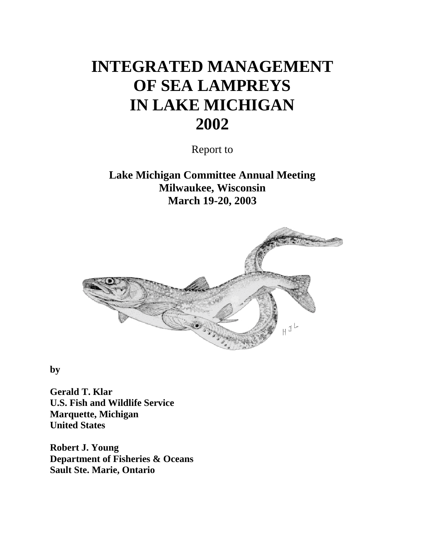# **INTEGRATED MANAGEMENT OF SEA LAMPREYS IN LAKE MICHIGAN 2002**

Report to

**Lake Michigan Committee Annual Meeting Milwaukee, Wisconsin March 19-20, 2003**



**by**

**Gerald T. Klar U.S. Fish and Wildlife Service Marquette, Michigan United States**

**Robert J. Young Department of Fisheries & Oceans Sault Ste. Marie, Ontario**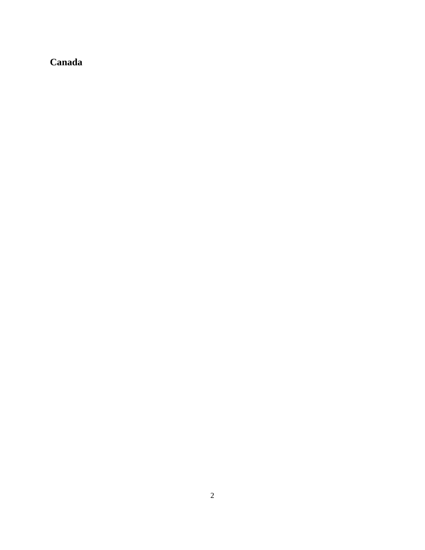# **Canada**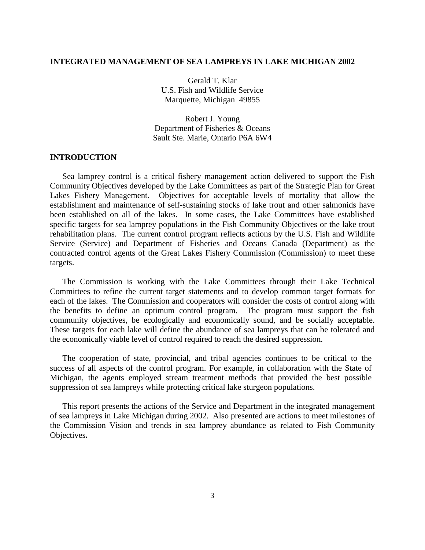# **INTEGRATED MANAGEMENT OF SEA LAMPREYS IN LAKE MICHIGAN 2002**

Gerald T. Klar U.S. Fish and Wildlife Service Marquette, Michigan 49855

Robert J. Young Department of Fisheries & Oceans Sault Ste. Marie, Ontario P6A 6W4

# **INTRODUCTION**

Sea lamprey control is a critical fishery management action delivered to support the Fish Community Objectives developed by the Lake Committees as part of the Strategic Plan for Great Lakes Fishery Management. Objectives for acceptable levels of mortality that allow the establishment and maintenance of self-sustaining stocks of lake trout and other salmonids have been established on all of the lakes. In some cases, the Lake Committees have established specific targets for sea lamprey populations in the Fish Community Objectives or the lake trout rehabilitation plans. The current control program reflects actions by the U.S. Fish and Wildlife Service (Service) and Department of Fisheries and Oceans Canada (Department) as the contracted control agents of the Great Lakes Fishery Commission (Commission) to meet these targets.

The Commission is working with the Lake Committees through their Lake Technical Committees to refine the current target statements and to develop common target formats for each of the lakes. The Commission and cooperators will consider the costs of control along with the benefits to define an optimum control program. The program must support the fish community objectives, be ecologically and economically sound, and be socially acceptable. These targets for each lake will define the abundance of sea lampreys that can be tolerated and the economically viable level of control required to reach the desired suppression.

The cooperation of state, provincial, and tribal agencies continues to be critical to the success of all aspects of the control program. For example, in collaboration with the State of Michigan, the agents employed stream treatment methods that provided the best possible suppression of sea lampreys while protecting critical lake sturgeon populations.

This report presents the actions of the Service and Department in the integrated management of sea lampreys in Lake Michigan during 2002. Also presented are actions to meet milestones of the Commission Vision and trends in sea lamprey abundance as related to Fish Community Objectives**.**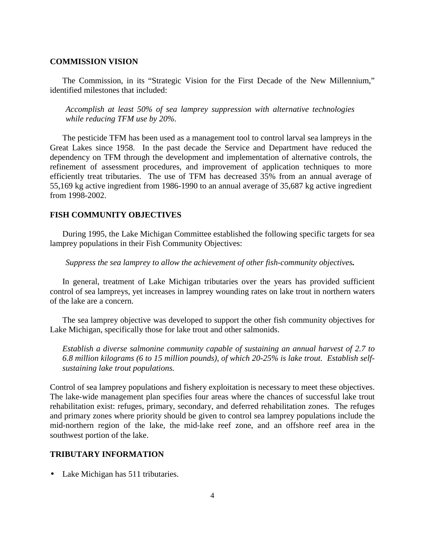#### **COMMISSION VISION**

The Commission, in its "Strategic Vision for the First Decade of the New Millennium," identified milestones that included:

*Accomplish at least 50% of sea lamprey suppression with alternative technologies while reducing TFM use by 20%.*

The pesticide TFM has been used as a management tool to control larval sea lampreys in the Great Lakes since 1958. In the past decade the Service and Department have reduced the dependency on TFM through the development and implementation of alternative controls, the refinement of assessment procedures, and improvement of application techniques to more efficiently treat tributaries. The use of TFM has decreased 35% from an annual average of 55,169 kg active ingredient from 1986-1990 to an annual average of 35,687 kg active ingredient from 1998-2002.

#### **FISH COMMUNITY OBJECTIVES**

During 1995, the Lake Michigan Committee established the following specific targets for sea lamprey populations in their Fish Community Objectives:

*Suppress the sea lamprey to allow the achievement of other fish-community objectives.*

In general, treatment of Lake Michigan tributaries over the years has provided sufficient control of sea lampreys, yet increases in lamprey wounding rates on lake trout in northern waters of the lake are a concern.

The sea lamprey objective was developed to support the other fish community objectives for Lake Michigan, specifically those for lake trout and other salmonids.

*Establish a diverse salmonine community capable of sustaining an annual harvest of 2.7 to 6.8 million kilograms (6 to 15 million pounds), of which 20-25% is lake trout. Establish selfsustaining lake trout populations.*

Control of sea lamprey populations and fishery exploitation is necessary to meet these objectives. The lake-wide management plan specifies four areas where the chances of successful lake trout rehabilitation exist: refuges, primary, secondary, and deferred rehabilitation zones. The refuges and primary zones where priority should be given to control sea lamprey populations include the mid-northern region of the lake, the mid-lake reef zone, and an offshore reef area in the southwest portion of the lake.

# **TRIBUTARY INFORMATION**

• Lake Michigan has 511 tributaries.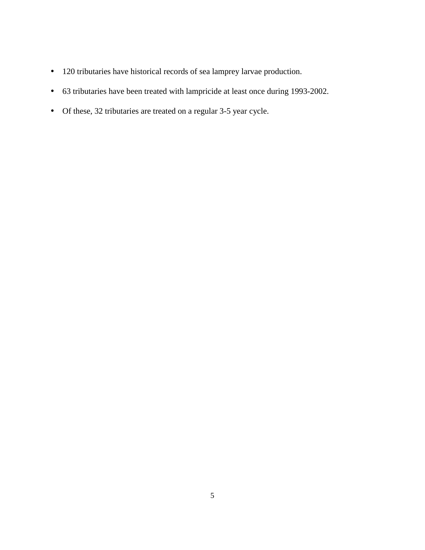- 120 tributaries have historical records of sea lamprey larvae production.
- 63 tributaries have been treated with lampricide at least once during 1993-2002.
- Of these, 32 tributaries are treated on a regular 3-5 year cycle.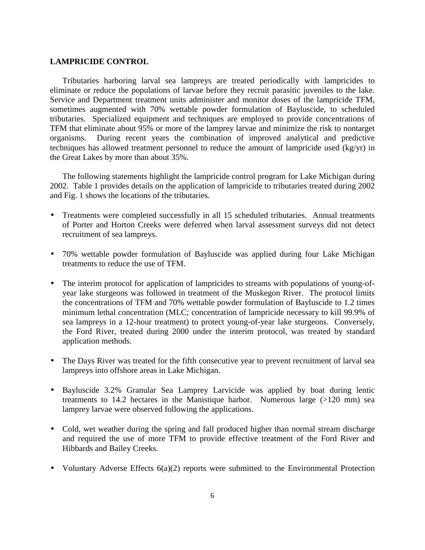#### **LAMPRICIDE CONTROL**

Tributaries harboring larval sea lampreys are treated periodically with lampricides to eliminate or reduce the populations of larvae before they recruit parasitic juveniles to the lake. Service and Department treatment units administer and monitor doses of the lampricide TFM, sometimes augmented with 70% wettable powder formulation of Bayluscide, to scheduled tributaries. Specialized equipment and techniques are employed to provide concentrations of TFM that eliminate about 95% or more of the lamprey larvae and minimize the risk to nontarget organisms. During recent years the combination of improved analytical and predictive techniques has allowed treatment personnel to reduce the amount of lampricide used (kg/yr) in the Great Lakes by more than about 35%.

The following statements highlight the lampricide control program for Lake Michigan during 2002. Table 1 provides details on the application of lampricide to tributaries treated during 2002 and Fig. 1 shows the locations of the tributaries.

- Treatments were completed successfully in all 15 scheduled tributaries. Annual treatments of Porter and Horton Creeks were deferred when larval assessment surveys did not detect recruitment of sea lampreys.
- 70% wettable powder formulation of Bayluscide was applied during four Lake Michigan treatments to reduce the use of TFM.
- The interim protocol for application of lampricides to streams with populations of young-ofyear lake sturgeons was followed in treatment of the Muskegon River. The protocol limits the concentrations of TFM and 70% wettable powder formulation of Bayluscide to 1.2 times minimum lethal concentration (MLC; concentration of lampricide necessary to kill 99.9% of sea lampreys in a 12-hour treatment) to protect young-of-year lake sturgeons. Conversely, the Ford River, treated during 2000 under the interim protocol, was treated by standard application methods.
- The Days River was treated for the fifth consecutive year to prevent recruitment of larval sea lampreys into offshore areas in Lake Michigan.
- Bayluscide 3.2% Granular Sea Lamprey Larvicide was applied by boat during lentic treatments to 14.2 hectares in the Manistique harbor. Numerous large (>120 mm) sea lamprey larvae were observed following the applications.
- Cold, wet weather during the spring and fall produced higher than normal stream discharge and required the use of more TFM to provide effective treatment of the Ford River and Hibbards and Bailey Creeks.
- Voluntary Adverse Effects 6(a)(2) reports were submitted to the Environmental Protection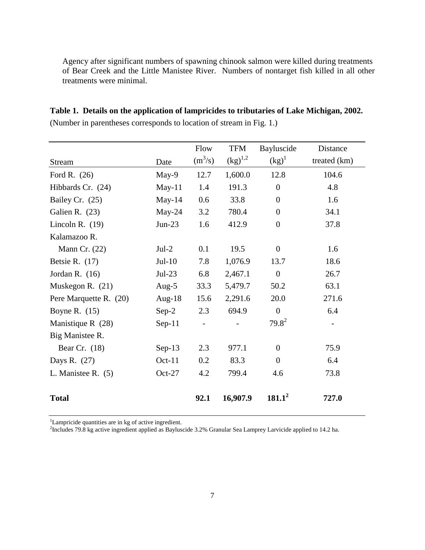Agency after significant numbers of spawning chinook salmon were killed during treatments of Bear Creek and the Little Manistee River. Numbers of nontarget fish killed in all other treatments were minimal.

**Table 1. Details on the application of lampricides to tributaries of Lake Michigan, 2002.**

|                        |           | Flow      | <b>TFM</b>                     | Bayluscide       | Distance     |
|------------------------|-----------|-----------|--------------------------------|------------------|--------------|
| <b>Stream</b>          | Date      | $(m^3/s)$ | $\left(\text{kg}\right)^{1,2}$ | $(kg)^1$         | treated (km) |
| Ford R. $(26)$         | May-9     | 12.7      | 1,600.0                        | 12.8             | 104.6        |
| Hibbards Cr. (24)      | $May-11$  | 1.4       | 191.3                          | $\overline{0}$   | 4.8          |
| Bailey Cr. (25)        | May- $14$ | 0.6       | 33.8                           | $\Omega$         | 1.6          |
| Galien R. (23)         | $May-24$  | 3.2       | 780.4                          | $\overline{0}$   | 34.1         |
| Lincoln R. $(19)$      | $Jun-23$  | 1.6       | 412.9                          | $\overline{0}$   | 37.8         |
| Kalamazoo R.           |           |           |                                |                  |              |
| Mann Cr. $(22)$        | $Jul-2$   | 0.1       | 19.5                           | $\overline{0}$   | 1.6          |
| Betsie R. $(17)$       | $Jul-10$  | 7.8       | 1,076.9                        | 13.7             | 18.6         |
| Jordan R. $(16)$       | $Jul-23$  | 6.8       | 2,467.1                        | $\boldsymbol{0}$ | 26.7         |
| Muskegon R. (21)       | Aug-5     | 33.3      | 5,479.7                        | 50.2             | 63.1         |
| Pere Marquette R. (20) | Aug-18    | 15.6      | 2,291.6                        | 20.0             | 271.6        |
| Boyne R. $(15)$        | $Sep-2$   | 2.3       | 694.9                          | $\boldsymbol{0}$ | 6.4          |
| Manistique R $(28)$    | $Sep-11$  |           |                                | $79.8^2$         |              |
| Big Manistee R.        |           |           |                                |                  |              |
| Bear Cr. $(18)$        | $Sep-13$  | 2.3       | 977.1                          | $\overline{0}$   | 75.9         |
| Days R. (27)           | $Oct-11$  | 0.2       | 83.3                           | $\overline{0}$   | 6.4          |
| L. Manistee R. $(5)$   | $Oct-27$  | 4.2       | 799.4                          | 4.6              | 73.8         |
| <b>Total</b>           |           | 92.1      | 16,907.9                       | $181.1^2$        | 727.0        |

(Number in parentheses corresponds to location of stream in Fig. 1.)

<sup>1</sup>Lampricide quantities are in kg of active ingredient.

2 Includes 79.8 kg active ingredient applied as Bayluscide 3.2% Granular Sea Lamprey Larvicide applied to 14.2 ha.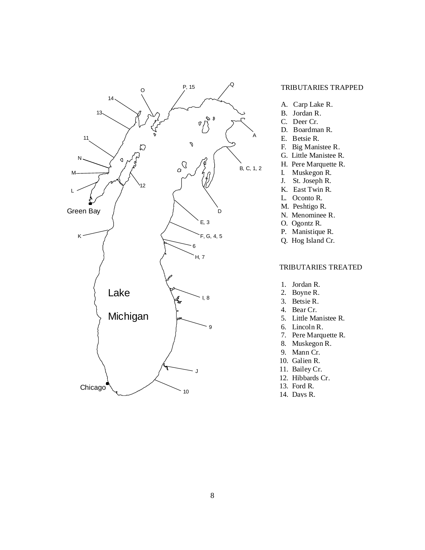

#### TRIBUTARIES TRAPPED

- A. Carp Lake R.
- B. Jordan R.
- C. Deer Cr.
- D. Boardman R.
- E. Betsie R.
- F. Big Manistee R.
- G. Little Manistee R.
- H. Pere Marquette R.
- I. Muskegon R.
- J. St. Joseph R. K. East Twin R.
- L. Oconto R.
- M. Peshtigo R.
- N. Menominee R.
- O. Ogontz R.
- P. Manistique R.
- Q. Hog Island Cr.

#### TRIBUTARIES TREATED

- 1. Jordan R.
- 2. Boyne R.
- 3. Betsie R.
- 4. Bear Cr.
- 5. Little Manistee R.
- 6. Lincoln R.
- 7. Pere Marquette R.
- 8. Muskegon R.
- 9. Mann Cr.
- 10. Galien R.
- 11. Bailey Cr.
- 12. Hibbards Cr.
- 13. Ford R.
- 14. Days R.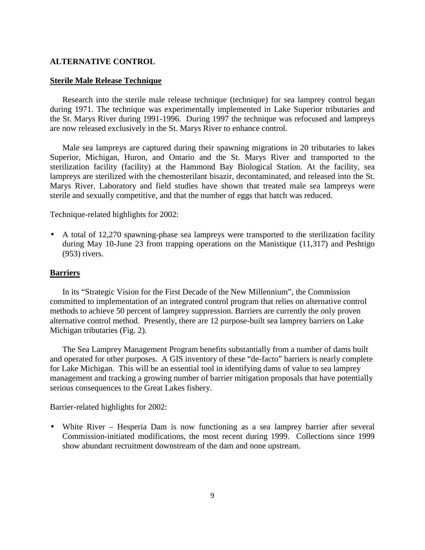#### **ALTERNATIVE CONTROL**

#### **Sterile Male Release Technique**

Research into the sterile male release technique (technique) for sea lamprey control began during 1971. The technique was experimentally implemented in Lake Superior tributaries and the St. Marys River during 1991-1996. During 1997 the technique was refocused and lampreys are now released exclusively in the St. Marys River to enhance control.

Male sea lampreys are captured during their spawning migrations in 20 tributaries to lakes Superior, Michigan, Huron, and Ontario and the St. Marys River and transported to the sterilization facility (facility) at the Hammond Bay Biological Station. At the facility, sea lampreys are sterilized with the chemosterilant bisazir, decontaminated, and released into the St. Marys River. Laboratory and field studies have shown that treated male sea lampreys were sterile and sexually competitive, and that the number of eggs that hatch was reduced.

Technique-related highlights for 2002:

• A total of 12,270 spawning-phase sea lampreys were transported to the sterilization facility during May 10-June 23 from trapping operations on the Manistique (11,317) and Peshtigo (953) rivers.

#### **Barriers**

In its "Strategic Vision for the First Decade of the New Millennium", the Commission committed to implementation of an integrated control program that relies on alternative control methods to achieve 50 percent of lamprey suppression. Barriers are currently the only proven alternative control method. Presently, there are 12 purpose-built sea lamprey barriers on Lake Michigan tributaries (Fig. 2).

The Sea Lamprey Management Program benefits substantially from a number of dams built and operated for other purposes. A GIS inventory of these "de-facto" barriers is nearly complete for Lake Michigan. This will be an essential tool in identifying dams of value to sea lamprey management and tracking a growing number of barrier mitigation proposals that have potentially serious consequences to the Great Lakes fishery.

Barrier-related highlights for 2002:

• White River – Hesperia Dam is now functioning as a sea lamprey barrier after several Commission-initiated modifications, the most recent during 1999. Collections since 1999 show abundant recruitment downstream of the dam and none upstream.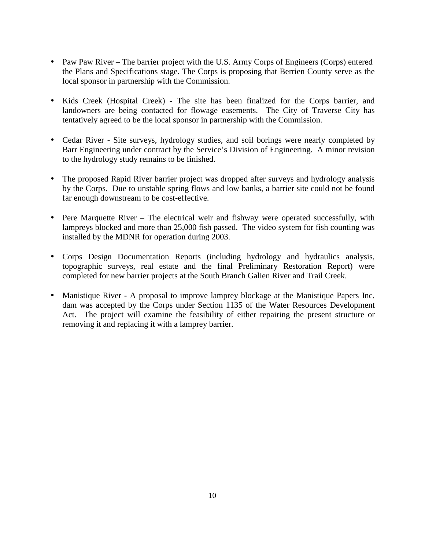- Paw Paw River The barrier project with the U.S. Army Corps of Engineers (Corps) entered the Plans and Specifications stage. The Corps is proposing that Berrien County serve as the local sponsor in partnership with the Commission.
- Kids Creek (Hospital Creek) The site has been finalized for the Corps barrier, and landowners are being contacted for flowage easements. The City of Traverse City has tentatively agreed to be the local sponsor in partnership with the Commission.
- Cedar River Site surveys, hydrology studies, and soil borings were nearly completed by Barr Engineering under contract by the Service's Division of Engineering. A minor revision to the hydrology study remains to be finished.
- The proposed Rapid River barrier project was dropped after surveys and hydrology analysis by the Corps. Due to unstable spring flows and low banks, a barrier site could not be found far enough downstream to be cost-effective.
- Pere Marquette River The electrical weir and fishway were operated successfully, with lampreys blocked and more than 25,000 fish passed. The video system for fish counting was installed by the MDNR for operation during 2003.
- Corps Design Documentation Reports (including hydrology and hydraulics analysis, topographic surveys, real estate and the final Preliminary Restoration Report) were completed for new barrier projects at the South Branch Galien River and Trail Creek.
- Manistique River A proposal to improve lamprey blockage at the Manistique Papers Inc. dam was accepted by the Corps under Section 1135 of the Water Resources Development Act. The project will examine the feasibility of either repairing the present structure or removing it and replacing it with a lamprey barrier.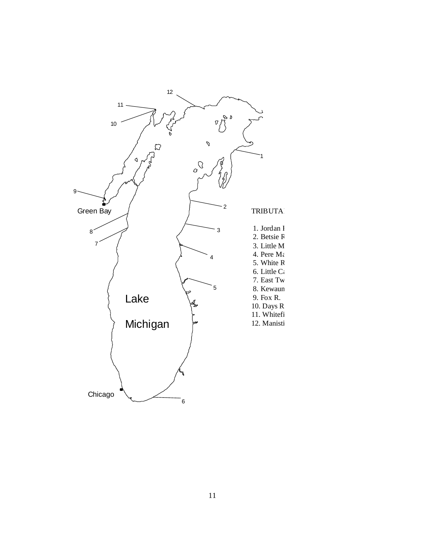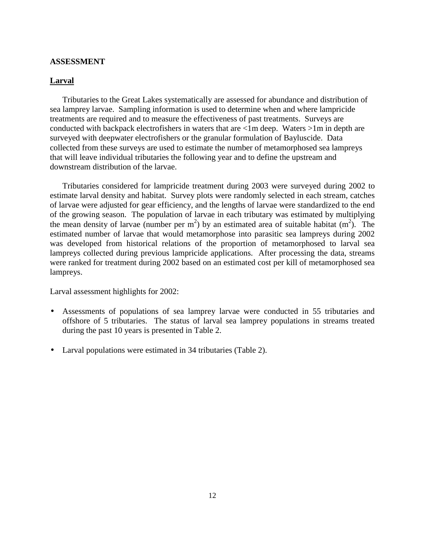#### **ASSESSMENT**

# **Larval**

Tributaries to the Great Lakes systematically are assessed for abundance and distribution of sea lamprey larvae. Sampling information is used to determine when and where lampricide treatments are required and to measure the effectiveness of past treatments. Surveys are conducted with backpack electrofishers in waters that are <1m deep. Waters >1m in depth are surveyed with deepwater electrofishers or the granular formulation of Bayluscide. Data collected from these surveys are used to estimate the number of metamorphosed sea lampreys that will leave individual tributaries the following year and to define the upstream and downstream distribution of the larvae.

Tributaries considered for lampricide treatment during 2003 were surveyed during 2002 to estimate larval density and habitat. Survey plots were randomly selected in each stream, catches of larvae were adjusted for gear efficiency, and the lengths of larvae were standardized to the end of the growing season. The population of larvae in each tributary was estimated by multiplying the mean density of larvae (number per  $m^2$ ) by an estimated area of suitable habitat  $(m^2)$ . The estimated number of larvae that would metamorphose into parasitic sea lampreys during 2002 was developed from historical relations of the proportion of metamorphosed to larval sea lampreys collected during previous lampricide applications. After processing the data, streams were ranked for treatment during 2002 based on an estimated cost per kill of metamorphosed sea lampreys.

Larval assessment highlights for 2002:

- Assessments of populations of sea lamprey larvae were conducted in 55 tributaries and offshore of 5 tributaries. The status of larval sea lamprey populations in streams treated during the past 10 years is presented in Table 2.
- Larval populations were estimated in 34 tributaries (Table 2).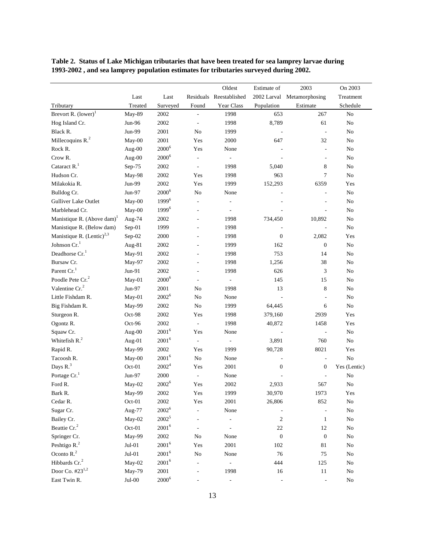**Table 2. Status of Lake Michigan tributaries that have been treated for sea lamprey larvae during 1993-2002 , and sea lamprey population estimates for tributaries surveyed during 2002.**

|                                        |                        |                   |                          | Oldest                   | Estimate of      | 2003             |                |
|----------------------------------------|------------------------|-------------------|--------------------------|--------------------------|------------------|------------------|----------------|
|                                        | Last                   | Last              |                          | Residuals Reestablished  | 2002 Larval      | Metamorphosing   | Treatment      |
| Tributary                              | Treated                | Surveyed          | Found                    | Year Class               | Population       | Estimate         | Schedule       |
| Brevort R. $(lower)^1$                 | May-89                 | 2002              |                          | 1998                     | 653              | 267              | $\rm No$       |
| Hog Island Cr.                         | Jun-96                 | 2002              | $\overline{\phantom{a}}$ | 1998                     | 8,789            | 61               | No             |
| Black R.                               | Jun-99                 | 2001              | No                       | 1999                     |                  | $\blacksquare$   | No             |
| Millecoquins R. <sup>2</sup>           | $May-00$               | 2001              | Yes                      | 2000                     | 647              | 32               | N <sub>o</sub> |
| Rock R.                                | Aug-00                 | $2000^6$          | Yes                      | None                     |                  | ä,               | No             |
| Crow R.                                | Aug-00                 | $2000^6$          |                          |                          |                  | ÷                | N <sub>o</sub> |
| Cataract R. <sup>1</sup>               | $Sep-75$               | 2002              | ÷,                       | 1998                     | 5,040            | 8                | No             |
| Hudson Cr.                             | May-98                 | 2002              | Yes                      | 1998                     | 963              | 7                | No             |
| Milakokia R.                           | Jun-99                 | 2002              | Yes                      | 1999                     | 152,293          | 6359             | Yes            |
| Bulldog Cr.                            | $Jun-97$               | $2000^6$          | $\rm No$                 | None                     |                  | ÷,               | N <sub>o</sub> |
| Gulliver Lake Outlet                   | May-00                 | $1999^{6}$        | ÷,                       |                          |                  |                  | No             |
| Marblehead Cr.                         | May-00                 | 1999 <sup>6</sup> | ÷,                       | $\bar{a}$                |                  |                  | No             |
| Manistique R. (Above dam) <sup>1</sup> | Aug-74                 | 2002              | ٠                        | 1998                     | 734,450          | 10,892           | No             |
| Manistique R. (Below dam)              | $Sep-01$               | 1999              |                          | 1998                     |                  |                  | No             |
| Manistique R. $(Lentic)^{2,3}$         | Sep-02                 | 2000              |                          | 1998                     | $\boldsymbol{0}$ | 2,082            | Yes            |
| Johnson $\mathrm{Cr.}^1$               | Aug-81                 | 2002              |                          | 1999                     | 162              | $\boldsymbol{0}$ | No             |
| Deadhorse Cr. <sup>1</sup>             | May-91                 | 2002              |                          | 1998                     | 753              | 14               | No             |
| Bursaw Cr.                             | May-97                 | 2002              |                          | 1998                     | 1,256            | 38               | No             |
| Parent Cr. <sup>1</sup>                | $Jun-91$               | 2002              |                          | 1998                     | 626              | 3                | No             |
| Poodle Pete Cr. <sup>2</sup>           | $May-01$               | $2000^6$          |                          | $\blacksquare$           | 145              | 15               | No             |
| Valentine Cr. <sup>2</sup>             | Jun-97                 | 2001              | N <sub>o</sub>           | 1998                     | 13               | 8                | N <sub>o</sub> |
| Little Fishdam R.                      | $May-01$               | $2002^6$          | $\rm No$                 | None                     |                  | ÷                | No             |
| Big Fishdam R.                         | May-99                 | 2002              | No                       | 1999                     | 64,445           | 6                | No             |
| Sturgeon R.                            | Oct-98                 | 2002              | Yes                      | 1998                     | 379,160          | 2939             | Yes            |
| Ogontz R.                              | Oct-96                 | 2002              | $\Box$                   | 1998                     | 40,872           | 1458             | Yes            |
| Squaw Cr.                              | Aug-00                 | $2001^6$          | Yes                      | None                     | ÷,               | ÷,               | N <sub>o</sub> |
| Whitefish $R2$                         | Aug-01                 | $2001^6$          | ä,                       | $\blacksquare$           | 3,891            | 760              | No             |
| Rapid R.                               | May-99                 | 2002              | Yes                      | 1999                     | 90,728           | 8021             | Yes            |
| Tacoosh R.                             | May-00                 | $2001^6$          | No                       | None                     |                  | ÷,               | No             |
| Days R. <sup>3</sup>                   | Oct-01                 | 2002 <sup>4</sup> | Yes                      | 2001                     | $\boldsymbol{0}$ | $\boldsymbol{0}$ | Yes (Lentic)   |
| Portage Cr. <sup>1</sup>               | Jun-97                 | 2000              |                          | None                     |                  |                  | No             |
| Ford R.                                | May-02                 | $2002^6$          | Yes                      | 2002                     | 2,933            | 567              | No             |
| Bark R.                                | May-99                 | 2002              | Yes                      | 1999                     | 30,970           | 1973             | Yes            |
| Cedar R.                               | Oct-01                 | 2002              | Yes                      | 2001                     | 26,806           | 852              | N <sub>o</sub> |
| Sugar Cr.                              | Aug-77                 | $2002^6$          |                          | None                     |                  |                  | No             |
| Bailey Cr.                             | May-02                 | $2002^5$          |                          | $\overline{\phantom{a}}$ | $\overline{c}$   | $\mathbf{1}$     | No             |
| Beattie Cr. <sup>2</sup>               | Oct-01                 | $2001^6$          | ÷,                       |                          | $22\,$           | 12               | N <sub>o</sub> |
| Springer Cr.                           | May-99                 | $2002\,$          | $\rm No$                 | None                     | $\boldsymbol{0}$ | $\boldsymbol{0}$ | N <sub>o</sub> |
| Peshtigo R. <sup>2</sup>               | $\rm{Jul}\textrm{-}01$ | $2001^6$          | Yes                      | 2001                     | 102              | $8\sqrt{1}$      | N <sub>o</sub> |
| Oconto $R2$                            | $Jul-01$               | $2001^6$          | N <sub>0</sub>           | None                     | 76               | $75\,$           | No             |
| Hibbards Cr. <sup>2</sup>              | May-02                 | $2001^6$          |                          |                          | 444              | 125              | N <sub>o</sub> |
| Door Co. #23 <sup>1,2</sup>            | May-79                 | 2001              |                          | 1998                     | 16               | $11\,$           | $\rm No$       |
| East Twin R.                           | $Jul-00$               | $2000^6$          |                          | $\blacksquare$           |                  |                  | $\rm No$       |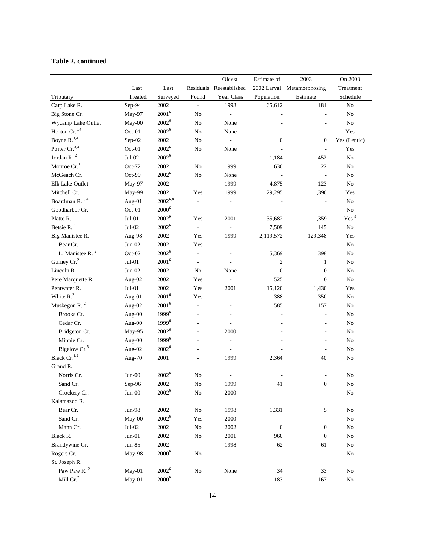# **Table 2. continued**

| Tributary<br>Carp Lake R.<br>Big Stone Cr.<br>Wycamp Lake Outlet<br>Horton Cr. <sup>3,4</sup><br>Boyne R. <sup>3,4</sup> | Last<br>Treated<br>Sep-94<br>May-97<br>May-00<br>Oct-01<br>Sep-02<br>Oct-01<br>$Jul-02$<br>$Oct-72$<br>Oct-99<br>May-97 | Last<br>Surveyed<br>2002<br>$2001^6$<br>$2002^6$<br>$2002^6$<br>2002<br>$2002^6$<br>$2002^6$<br>2002<br>$2002^6$ | Found<br>$\overline{\phantom{a}}$<br>No<br>N <sub>o</sub><br>No<br>No<br>N <sub>o</sub><br>$\omega$<br>No | Residuals Reestablished<br>Year Class<br>1998<br>$\overline{\phantom{a}}$<br>None<br>None<br>$\overline{\phantom{a}}$<br>None | Population<br>65,612<br>$\overline{\phantom{a}}$<br>$\overline{0}$ | 2002 Larval Metamorphosing<br>Estimate<br>181<br>÷,<br>ä,<br>ä,<br>$\overline{0}$ | Treatment<br>Schedule<br>No<br>No<br>No<br>Yes |
|--------------------------------------------------------------------------------------------------------------------------|-------------------------------------------------------------------------------------------------------------------------|------------------------------------------------------------------------------------------------------------------|-----------------------------------------------------------------------------------------------------------|-------------------------------------------------------------------------------------------------------------------------------|--------------------------------------------------------------------|-----------------------------------------------------------------------------------|------------------------------------------------|
|                                                                                                                          |                                                                                                                         |                                                                                                                  |                                                                                                           |                                                                                                                               |                                                                    |                                                                                   |                                                |
|                                                                                                                          |                                                                                                                         |                                                                                                                  |                                                                                                           |                                                                                                                               |                                                                    |                                                                                   |                                                |
|                                                                                                                          |                                                                                                                         |                                                                                                                  |                                                                                                           |                                                                                                                               |                                                                    |                                                                                   |                                                |
|                                                                                                                          |                                                                                                                         |                                                                                                                  |                                                                                                           |                                                                                                                               |                                                                    |                                                                                   |                                                |
|                                                                                                                          |                                                                                                                         |                                                                                                                  |                                                                                                           |                                                                                                                               |                                                                    |                                                                                   |                                                |
|                                                                                                                          |                                                                                                                         |                                                                                                                  |                                                                                                           |                                                                                                                               |                                                                    |                                                                                   |                                                |
|                                                                                                                          |                                                                                                                         |                                                                                                                  |                                                                                                           |                                                                                                                               |                                                                    |                                                                                   | Yes (Lentic)                                   |
| Porter Cr. <sup>3,4</sup>                                                                                                |                                                                                                                         |                                                                                                                  |                                                                                                           |                                                                                                                               |                                                                    | ÷,                                                                                | Yes                                            |
| Jordan R. <sup>2</sup>                                                                                                   |                                                                                                                         |                                                                                                                  |                                                                                                           | $\mathcal{L}$                                                                                                                 | 1,184                                                              | 452                                                                               | No                                             |
| Monroe Cr. <sup>1</sup>                                                                                                  |                                                                                                                         |                                                                                                                  |                                                                                                           | 1999                                                                                                                          | 630                                                                | 22                                                                                | No                                             |
| McGeach Cr.                                                                                                              |                                                                                                                         |                                                                                                                  | $\rm No$                                                                                                  | None                                                                                                                          |                                                                    | ä,                                                                                | No                                             |
| Elk Lake Outlet                                                                                                          |                                                                                                                         | 2002                                                                                                             | $\overline{\phantom{a}}$                                                                                  | 1999                                                                                                                          | 4,875                                                              | 123                                                                               | No                                             |
| Mitchell Cr.                                                                                                             | May-99                                                                                                                  | 2002                                                                                                             | Yes                                                                                                       | 1999                                                                                                                          | 29,295                                                             | 1,390                                                                             | Yes                                            |
| Boardman R. <sup>3,4</sup>                                                                                               | Aug- $01$                                                                                                               | $2002^{6,8}$                                                                                                     | $\frac{1}{2}$                                                                                             | $\blacksquare$                                                                                                                |                                                                    | ÷,                                                                                | No                                             |
| Goodharbor Cr.                                                                                                           | $Oct-01$                                                                                                                | $2000^6$                                                                                                         | $\overline{\phantom{a}}$                                                                                  | $\overline{\phantom{a}}$                                                                                                      | ÷,                                                                 | $\overline{\phantom{a}}$                                                          | No                                             |
| Platte R.                                                                                                                | $Jul-01$                                                                                                                | $2002^9$                                                                                                         | Yes                                                                                                       | 2001                                                                                                                          | 35,682                                                             | 1,359                                                                             | Yes <sup>9</sup>                               |
| Betsie R. <sup>2</sup>                                                                                                   | $Jul-02$                                                                                                                | $2002^6$                                                                                                         | $\Box$                                                                                                    | $\overline{\phantom{a}}$                                                                                                      | 7,509                                                              | 145                                                                               | No                                             |
| Big Manistee R.                                                                                                          | Aug-98                                                                                                                  | 2002                                                                                                             | Yes                                                                                                       | 1999                                                                                                                          | 2,119,572                                                          | 129,348                                                                           | Yes                                            |
| Bear Cr.                                                                                                                 | $Jun-02$                                                                                                                | 2002                                                                                                             | Yes                                                                                                       | $\sim$                                                                                                                        | ä,                                                                 | $\overline{\phantom{a}}$                                                          | No                                             |
| L. Manistee R. <sup>2</sup>                                                                                              | $Oct-02$                                                                                                                | $2002^6$                                                                                                         | $\overline{\phantom{a}}$                                                                                  |                                                                                                                               | 5,369                                                              | 398                                                                               | No                                             |
| Gurney Cr. <sup>2</sup>                                                                                                  | $Jul-01$                                                                                                                | $2001^6$                                                                                                         | $\blacksquare$                                                                                            |                                                                                                                               | 2                                                                  | 1                                                                                 | No                                             |
| Lincoln R.                                                                                                               | $Jun-02$                                                                                                                | 2002                                                                                                             | No                                                                                                        | None                                                                                                                          | $\boldsymbol{0}$                                                   | $\boldsymbol{0}$                                                                  | No                                             |
| Pere Marquette R.                                                                                                        | Aug-02                                                                                                                  | 2002                                                                                                             | Yes                                                                                                       | $\overline{\phantom{a}}$                                                                                                      | 525                                                                | $\boldsymbol{0}$                                                                  | No                                             |
| Pentwater R.                                                                                                             | $Jul-01$                                                                                                                | 2002                                                                                                             | Yes                                                                                                       | 2001                                                                                                                          | 15,120                                                             | 1,430                                                                             | Yes                                            |
| White $R2$                                                                                                               | Aug- $01$                                                                                                               | $2001^6$                                                                                                         | Yes                                                                                                       | $\bar{a}$                                                                                                                     | 388                                                                | 350                                                                               | No                                             |
| Muskegon R. $2$                                                                                                          | Aug-02                                                                                                                  | $2001^6$                                                                                                         | $\overline{\phantom{a}}$                                                                                  | ÷.                                                                                                                            | 585                                                                | 157                                                                               | No                                             |
| Brooks Cr.                                                                                                               | Aug-00                                                                                                                  | $1999^{6}$                                                                                                       | ÷,                                                                                                        |                                                                                                                               | $\overline{\phantom{a}}$                                           | $\blacksquare$                                                                    | No                                             |
| Cedar Cr.                                                                                                                | Aug-00                                                                                                                  | $1999^{6}$                                                                                                       | ä,                                                                                                        |                                                                                                                               |                                                                    | ÷,                                                                                | No                                             |
| Bridgeton Cr.                                                                                                            | May-95                                                                                                                  | $2002^6$                                                                                                         |                                                                                                           | 2000                                                                                                                          |                                                                    | ÷,                                                                                | No                                             |
| Minnie Cr.                                                                                                               | Aug-00                                                                                                                  | $1999^{6}$                                                                                                       |                                                                                                           | $\bar{\phantom{a}}$                                                                                                           |                                                                    | ä,                                                                                | No                                             |
| Bigelow Cr. <sup>5</sup>                                                                                                 | Aug-02                                                                                                                  | $2002^6$                                                                                                         |                                                                                                           | $\bar{a}$                                                                                                                     |                                                                    | ÷,                                                                                | No                                             |
| Black Cr. <sup>1,2</sup>                                                                                                 | Aug-70                                                                                                                  | 2001                                                                                                             |                                                                                                           | 1999                                                                                                                          | 2,364                                                              | 40                                                                                | No                                             |
| Grand R.                                                                                                                 |                                                                                                                         |                                                                                                                  |                                                                                                           |                                                                                                                               |                                                                    |                                                                                   |                                                |
| Norris Cr.                                                                                                               | $Jun-00$                                                                                                                | $2002^6$                                                                                                         | No                                                                                                        |                                                                                                                               |                                                                    |                                                                                   | No                                             |
| Sand Cr.                                                                                                                 | Sep-96                                                                                                                  | 2002                                                                                                             | No                                                                                                        | 1999                                                                                                                          | 41                                                                 | $\boldsymbol{0}$                                                                  | No                                             |
| Crockery Cr.                                                                                                             | $Jun-00$                                                                                                                | $2002^6$                                                                                                         | ${\rm No}$                                                                                                | 2000                                                                                                                          |                                                                    | $\blacksquare$                                                                    | No                                             |
| Kalamazoo R.                                                                                                             |                                                                                                                         |                                                                                                                  |                                                                                                           |                                                                                                                               |                                                                    |                                                                                   |                                                |
| Bear Cr.                                                                                                                 | $Jun-98$                                                                                                                | 2002                                                                                                             | ${\rm No}$                                                                                                | 1998                                                                                                                          | 1,331                                                              | 5                                                                                 | No                                             |
| Sand Cr.                                                                                                                 | May-00                                                                                                                  | $2002^6$                                                                                                         | Yes                                                                                                       | 2000                                                                                                                          |                                                                    | ÷,                                                                                | N <sub>o</sub>                                 |
| Mann Cr.                                                                                                                 | $Jul-02$                                                                                                                | 2002                                                                                                             | $\rm No$                                                                                                  | 2002                                                                                                                          | $\boldsymbol{0}$                                                   | $\boldsymbol{0}$                                                                  | N <sub>o</sub>                                 |
| Black R.                                                                                                                 | $Jun-01$                                                                                                                | 2002                                                                                                             | N <sub>o</sub>                                                                                            | 2001                                                                                                                          | 960                                                                | $\boldsymbol{0}$                                                                  | N <sub>o</sub>                                 |
| Brandywine Cr.                                                                                                           | Jun-85                                                                                                                  | 2002                                                                                                             | $\blacksquare$                                                                                            | 1998                                                                                                                          | 62                                                                 | 61                                                                                | No                                             |
| Rogers Cr.                                                                                                               | May-98                                                                                                                  | $2000^6$                                                                                                         | $\rm No$                                                                                                  |                                                                                                                               |                                                                    |                                                                                   | No                                             |
| St. Joseph R.                                                                                                            |                                                                                                                         |                                                                                                                  |                                                                                                           |                                                                                                                               |                                                                    |                                                                                   |                                                |
| Paw Paw R. <sup>2</sup>                                                                                                  | May-01                                                                                                                  | $2002^6$                                                                                                         | ${\rm No}$                                                                                                | None                                                                                                                          | 34                                                                 | 33                                                                                | ${\bf No}$                                     |
| Mill $Cr2$                                                                                                               | May-01                                                                                                                  | $2000^6$                                                                                                         |                                                                                                           |                                                                                                                               | 183                                                                | 167                                                                               | No                                             |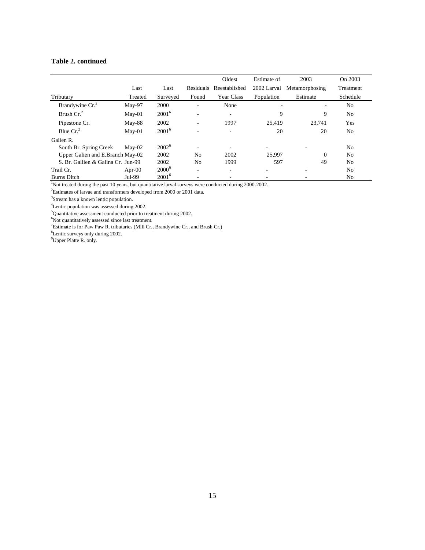# **Table 2. continued**

|                                    |           |          |                          | Oldest        | Estimate of | 2003           | On 2003        |
|------------------------------------|-----------|----------|--------------------------|---------------|-------------|----------------|----------------|
|                                    | Last      | Last     | Residuals                | Reestablished | 2002 Larval | Metamorphosing | Treatment      |
| Tributary                          | Treated   | Surveyed | Found                    | Year Class    | Population  | Estimate       | Schedule       |
| Brandywine Cr. <sup>2</sup>        | $May-97$  | 2000     | ۰                        | None          |             | ۰              | N <sub>o</sub> |
| Brush $Cr2$                        | $May-01$  | $2001^6$ | ۰                        | ٠             | 9           | 9              | N <sub>0</sub> |
| Pipestone Cr.                      | $May-88$  | 2002     | ۰                        | 1997          | 25.419      | 23.741         | Yes            |
| Blue $Cr2$                         | $M$ ay-01 | $2001^6$ | ۰                        | ٠             | 20          | 20             | N <sub>0</sub> |
| Galien R.                          |           |          |                          |               |             |                |                |
| South Br. Spring Creek             | $Mav-02$  | $2002^6$ | ۰                        |               | $\sim$      | ۰              | N <sub>o</sub> |
| Upper Galien and E.Branch May-02   |           | 2002     | N <sub>0</sub>           | 2002          | 25.997      | $\Omega$       | N <sub>o</sub> |
| S. Br. Gallien & Galina Cr. Jun-99 |           | 2002     | No                       | 1999          | 597         | 49             | N <sub>0</sub> |
| Trail Cr.                          | Apr- $00$ | $2000^6$ | $\overline{\phantom{a}}$ | ٠             | ۰           | ٠              | N <sub>o</sub> |
| <b>Burns Ditch</b>                 | Jul-99    | $2001^6$ | ٠                        |               |             |                | No             |

Not treated during the past 10 years, but quantitative larval surveys were conducted during 2000-2002.

<sup>2</sup>Estimates of larvae and transformers developed from 2000 or 2001 data.

<sup>3</sup>Stream has a known lentic population.

<sup>4</sup>Lentic population was assessed during 2002.

<sup>5</sup>Quantitative assessment conducted prior to treatment during 2002.<br><sup>6</sup>Not quantitatively assessed since last treatment.

7 Estimate is for Paw Paw R. tributaries (Mill Cr., Brandywine Cr., and Brush Cr.)

<sup>8</sup>Lentic surveys only during 2002.

<sup>9</sup>Upper Platte R. only.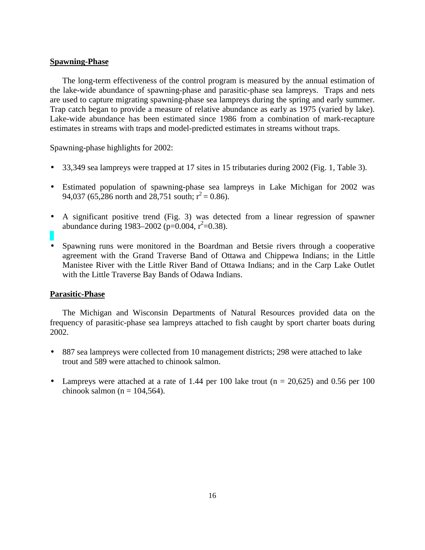# **Spawning-Phase**

The long-term effectiveness of the control program is measured by the annual estimation of the lake-wide abundance of spawning-phase and parasitic-phase sea lampreys. Traps and nets are used to capture migrating spawning-phase sea lampreys during the spring and early summer. Trap catch began to provide a measure of relative abundance as early as 1975 (varied by lake). Lake-wide abundance has been estimated since 1986 from a combination of mark-recapture estimates in streams with traps and model-predicted estimates in streams without traps.

Spawning-phase highlights for 2002:

- 33,349 sea lampreys were trapped at 17 sites in 15 tributaries during 2002 (Fig. 1, Table 3).
- Estimated population of spawning-phase sea lampreys in Lake Michigan for 2002 was 94,037 (65,286 north and 28,751 south;  $r^2 = 0.86$ ).
- A significant positive trend (Fig. 3) was detected from a linear regression of spawner abundance during 1983–2002 (p=0.004,  $r^2$ =0.38).
- Spawning runs were monitored in the Boardman and Betsie rivers through a cooperative agreement with the Grand Traverse Band of Ottawa and Chippewa Indians; in the Little Manistee River with the Little River Band of Ottawa Indians; and in the Carp Lake Outlet with the Little Traverse Bay Bands of Odawa Indians.

# **Parasitic-Phase**

The Michigan and Wisconsin Departments of Natural Resources provided data on the frequency of parasitic-phase sea lampreys attached to fish caught by sport charter boats during 2002.

- 887 sea lampreys were collected from 10 management districts; 298 were attached to lake trout and 589 were attached to chinook salmon.
- Lampreys were attached at a rate of 1.44 per 100 lake trout ( $n = 20,625$ ) and 0.56 per 100 chinook salmon (n =  $104,564$ ).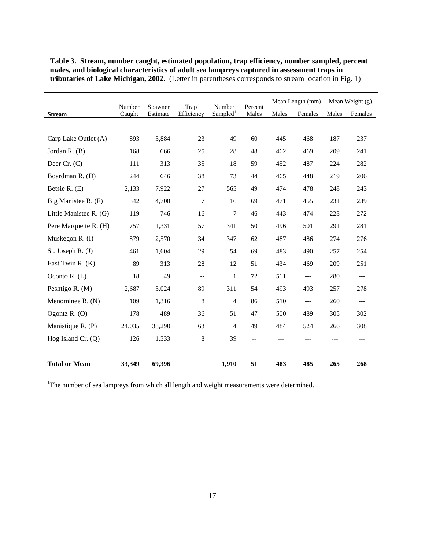|                        |                  |                     |                          |                                | Mean Length (mm) |       | Mean Weight $(g)$                        |       |                          |
|------------------------|------------------|---------------------|--------------------------|--------------------------------|------------------|-------|------------------------------------------|-------|--------------------------|
| <b>Stream</b>          | Number<br>Caught | Spawner<br>Estimate | Trap<br>Efficiency       | Number<br>Sampled <sup>1</sup> | Percent<br>Males | Males | Females                                  | Males | Females                  |
|                        |                  |                     |                          |                                |                  |       |                                          |       |                          |
| Carp Lake Outlet (A)   | 893              | 3,884               | 23                       | 49                             | 60               | 445   | 468                                      | 187   | 237                      |
| Jordan R. (B)          | 168              | 666                 | 25                       | 28                             | 48               | 462   | 469                                      | 209   | 241                      |
| Deer $Cr. (C)$         | 111              | 313                 | 35                       | 18                             | 59               | 452   | 487                                      | 224   | 282                      |
| Boardman R. (D)        | 244              | 646                 | 38                       | 73                             | 44               | 465   | 448                                      | 219   | 206                      |
| Betsie R. (E)          | 2,133            | 7,922               | 27                       | 565                            | 49               | 474   | 478                                      | 248   | 243                      |
| Big Manistee R. (F)    | 342              | 4,700               | 7                        | 16                             | 69               | 471   | 455                                      | 231   | 239                      |
| Little Manistee R. (G) | 119              | 746                 | 16                       | 7                              | 46               | 443   | 474                                      | 223   | 272                      |
| Pere Marquette R. (H)  | 757              | 1,331               | 57                       | 341                            | 50               | 496   | 501                                      | 291   | 281                      |
| Muskegon R. (I)        | 879              | 2,570               | 34                       | 347                            | 62               | 487   | 486                                      | 274   | 276                      |
| St. Joseph R. (J)      | 461              | 1,604               | 29                       | 54                             | 69               | 483   | 490                                      | 257   | 254                      |
| East Twin R. (K)       | 89               | 313                 | 28                       | 12                             | 51               | 434   | 469                                      | 209   | 251                      |
| Oconto $R. (L)$        | 18               | 49                  | $\overline{\phantom{a}}$ | $\mathbf{1}$                   | 72               | 511   | $---$                                    | 280   | $---$                    |
| Peshtigo R. (M)        | 2,687            | 3,024               | 89                       | 311                            | 54               | 493   | 493                                      | 257   | 278                      |
| Menominee R. (N)       | 109              | 1,316               | 8                        | $\overline{4}$                 | 86               | 510   | $\hspace{0.05cm} \ldots \hspace{0.05cm}$ | 260   | $\hspace{0.05cm} \ldots$ |
| Ogontz $R.$ (O)        | 178              | 489                 | 36                       | 51                             | 47               | 500   | 489                                      | 305   | 302                      |
| Manistique R. (P)      | 24,035           | 38,290              | 63                       | $\overline{4}$                 | 49               | 484   | 524                                      | 266   | 308                      |
| Hog Island Cr. (Q)     | 126              | 1,533               | 8                        | 39                             | --               | $---$ | $---$                                    | $---$ | $---$                    |
|                        |                  |                     |                          |                                |                  |       |                                          |       |                          |
| <b>Total or Mean</b>   | 33,349           | 69,396              |                          | 1,910                          | 51               | 483   | 485                                      | 265   | 268                      |

**Table 3. Stream, number caught, estimated population, trap efficiency, number sampled, percent males, and biological characteristics of adult sea lampreys captured in assessment traps in tributaries of Lake Michigan, 2002.** (Letter in parentheses corresponds to stream location in Fig. 1)

<sup>1</sup>The number of sea lampreys from which all length and weight measurements were determined.